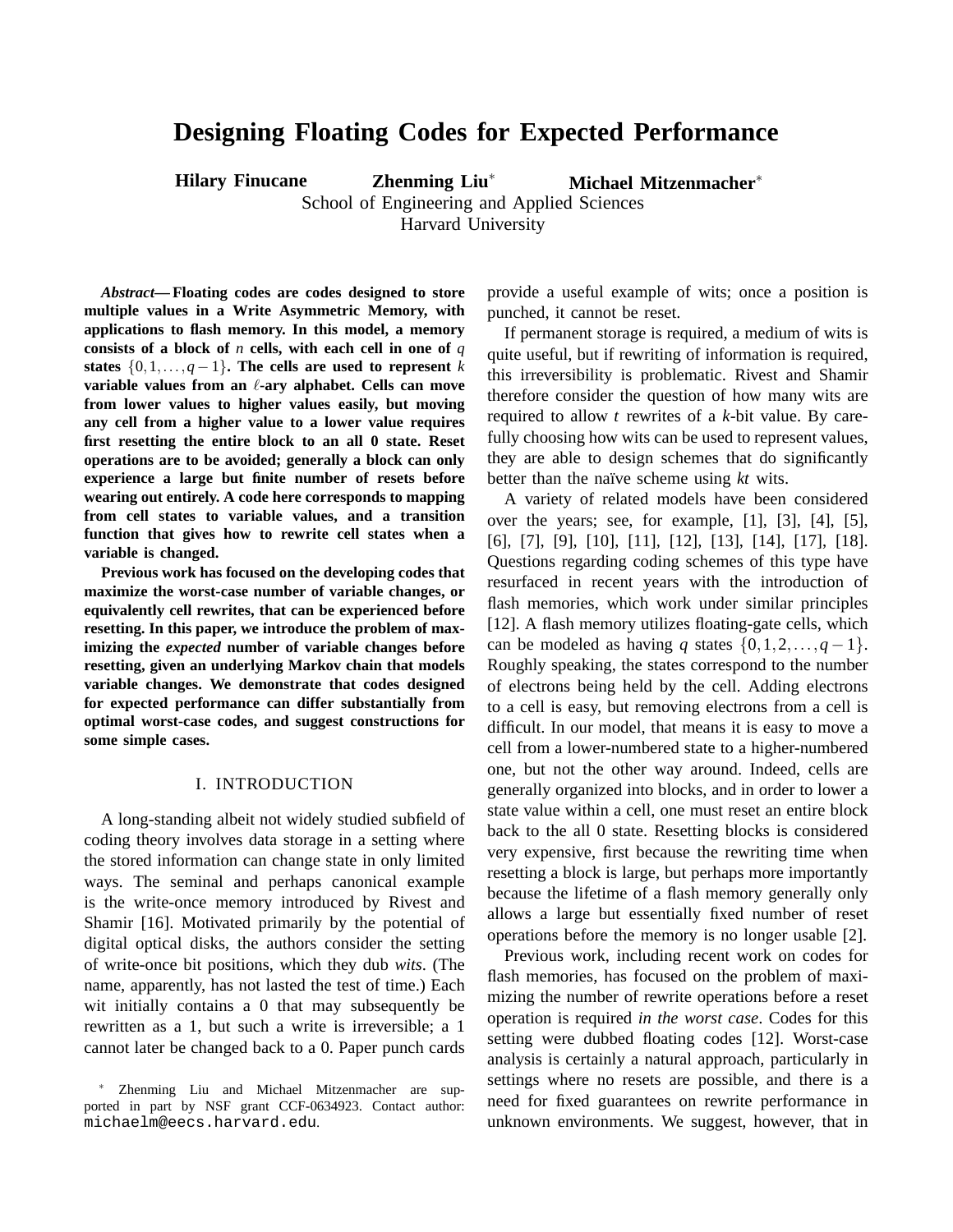# **Designing Floating Codes for Expected Performance**

**Hilary Finucane Zhenming Liu**<sup>∗</sup> **Michael Mitzenmacher**<sup>∗</sup>

School of Engineering and Applied Sciences

Harvard University

*Abstract***— Floating codes are codes designed to store multiple values in a Write Asymmetric Memory, with applications to flash memory. In this model, a memory consists of a block of** *n* **cells, with each cell in one of** *q* states  $\{0,1,\ldots,q-1\}$ . The cells are used to represent *k* **variable values from an** ℓ**-ary alphabet. Cells can move from lower values to higher values easily, but moving any cell from a higher value to a lower value requires first resetting the entire block to an all 0 state. Reset operations are to be avoided; generally a block can only experience a large but finite number of resets before wearing out entirely. A code here corresponds to mapping from cell states to variable values, and a transition function that gives how to rewrite cell states when a variable is changed.**

**Previous work has focused on the developing codes that maximize the worst-case number of variable changes, or equivalently cell rewrites, that can be experienced before resetting. In this paper, we introduce the problem of maximizing the** *expected* **number of variable changes before resetting, given an underlying Markov chain that models variable changes. We demonstrate that codes designed for expected performance can differ substantially from optimal worst-case codes, and suggest constructions for some simple cases.**

### I. INTRODUCTION

A long-standing albeit not widely studied subfield of coding theory involves data storage in a setting where the stored information can change state in only limited ways. The seminal and perhaps canonical example is the write-once memory introduced by Rivest and Shamir [16]. Motivated primarily by the potential of digital optical disks, the authors consider the setting of write-once bit positions, which they dub *wits*. (The name, apparently, has not lasted the test of time.) Each wit initially contains a 0 that may subsequently be rewritten as a 1, but such a write is irreversible; a 1 cannot later be changed back to a 0. Paper punch cards

provide a useful example of wits; once a position is punched, it cannot be reset.

If permanent storage is required, a medium of wits is quite useful, but if rewriting of information is required, this irreversibility is problematic. Rivest and Shamir therefore consider the question of how many wits are required to allow *t* rewrites of a *k*-bit value. By carefully choosing how wits can be used to represent values, they are able to design schemes that do significantly better than the naïve scheme using *kt* wits.

A variety of related models have been considered over the years; see, for example, [1], [3], [4], [5], [6], [7], [9], [10], [11], [12], [13], [14], [17], [18]. Questions regarding coding schemes of this type have resurfaced in recent years with the introduction of flash memories, which work under similar principles [12]. A flash memory utilizes floating-gate cells, which can be modeled as having *q* states  $\{0, 1, 2, \ldots, q-1\}.$ Roughly speaking, the states correspond to the number of electrons being held by the cell. Adding electrons to a cell is easy, but removing electrons from a cell is difficult. In our model, that means it is easy to move a cell from a lower-numbered state to a higher-numbered one, but not the other way around. Indeed, cells are generally organized into blocks, and in order to lower a state value within a cell, one must reset an entire block back to the all 0 state. Resetting blocks is considered very expensive, first because the rewriting time when resetting a block is large, but perhaps more importantly because the lifetime of a flash memory generally only allows a large but essentially fixed number of reset operations before the memory is no longer usable [2].

Previous work, including recent work on codes for flash memories, has focused on the problem of maximizing the number of rewrite operations before a reset operation is required *in the worst case*. Codes for this setting were dubbed floating codes [12]. Worst-case analysis is certainly a natural approach, particularly in settings where no resets are possible, and there is a need for fixed guarantees on rewrite performance in unknown environments. We suggest, however, that in

<sup>∗</sup> Zhenming Liu and Michael Mitzenmacher are supported in part by NSF grant CCF-0634923. Contact author: michaelm@eecs.harvard.edu.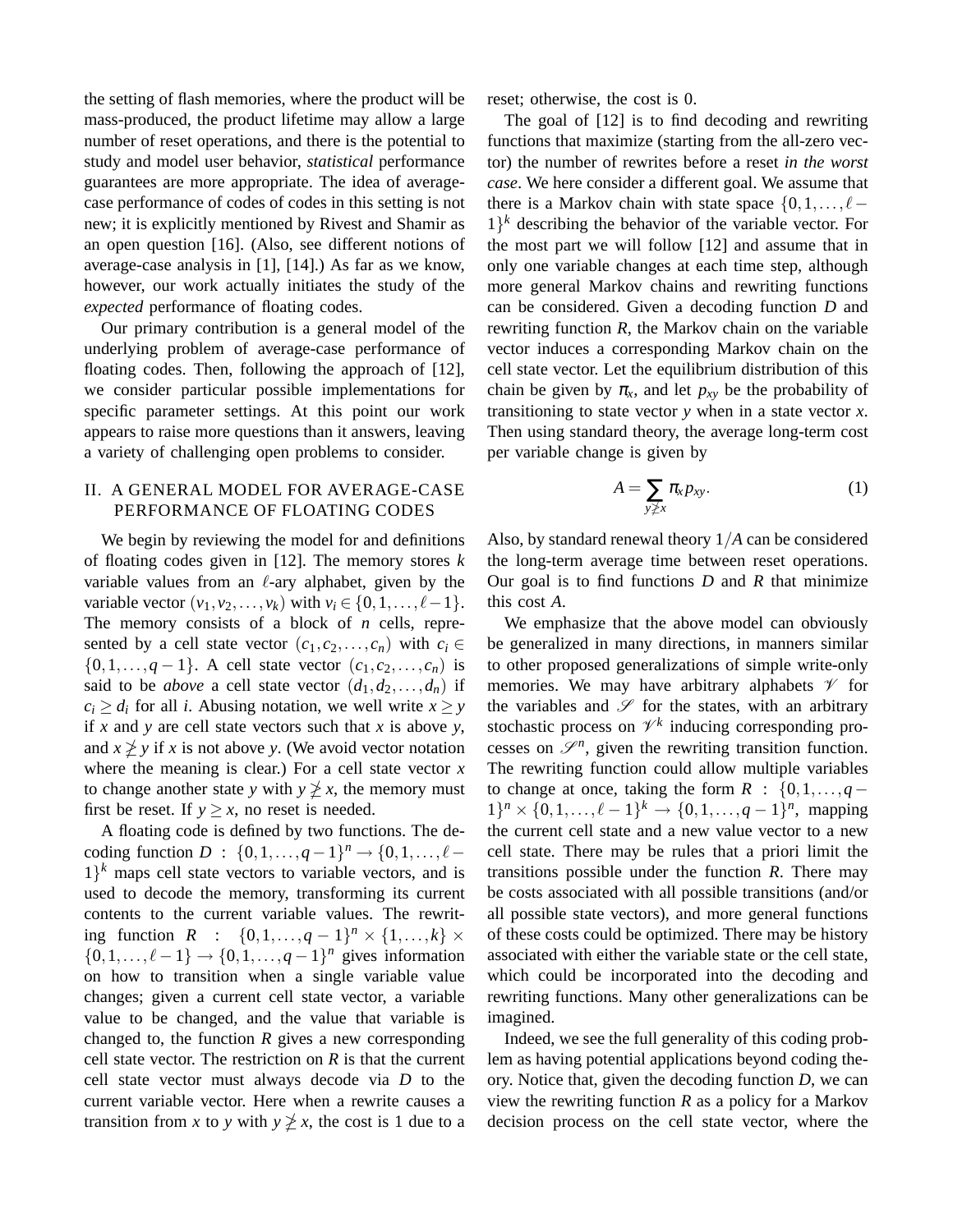the setting of flash memories, where the product will be mass-produced, the product lifetime may allow a large number of reset operations, and there is the potential to study and model user behavior, *statistical* performance guarantees are more appropriate. The idea of averagecase performance of codes of codes in this setting is not new; it is explicitly mentioned by Rivest and Shamir as an open question [16]. (Also, see different notions of average-case analysis in [1], [14].) As far as we know, however, our work actually initiates the study of the *expected* performance of floating codes.

Our primary contribution is a general model of the underlying problem of average-case performance of floating codes. Then, following the approach of [12], we consider particular possible implementations for specific parameter settings. At this point our work appears to raise more questions than it answers, leaving a variety of challenging open problems to consider.

## II. A GENERAL MODEL FOR AVERAGE-CASE PERFORMANCE OF FLOATING CODES

We begin by reviewing the model for and definitions of floating codes given in [12]. The memory stores *k* variable values from an  $\ell$ -ary alphabet, given by the variable vector  $(v_1, v_2, \ldots, v_k)$  with  $v_i \in \{0, 1, \ldots, \ell-1\}$ . The memory consists of a block of *n* cells, represented by a cell state vector  $(c_1, c_2, \ldots, c_n)$  with  $c_i \in$  $\{0,1,\ldots,q-1\}$ . A cell state vector  $(c_1,c_2,\ldots,c_n)$  is said to be *above* a cell state vector  $(d_1, d_2, \ldots, d_n)$  if  $c_i \geq d_i$  for all *i*. Abusing notation, we well write  $x \geq y$ if *x* and *y* are cell state vectors such that *x* is above *y*, and  $x \not\geq y$  if x is not above y. (We avoid vector notation where the meaning is clear.) For a cell state vector *x* to change another state *y* with  $y \ngeq x$ , the memory must first be reset. If  $y \ge x$ , no reset is needed.

A floating code is defined by two functions. The decoding function  $D : \{0, 1, \ldots, q-1\}^n \to \{0, 1, \ldots, \ell -1\}^n$  $1\}$ <sup>k</sup> maps cell state vectors to variable vectors, and is used to decode the memory, transforming its current contents to the current variable values. The rewriting function *R* : {0,1,...,*q* − 1}<sup>*n*</sup> × {1,...,*k*} × { $0, 1, ..., l-1$ } → { $0, 1, ..., q-1$ }<sup>n</sup> gives information on how to transition when a single variable value changes; given a current cell state vector, a variable value to be changed, and the value that variable is changed to, the function *R* gives a new corresponding cell state vector. The restriction on *R* is that the current cell state vector must always decode via *D* to the current variable vector. Here when a rewrite causes a transition from *x* to *y* with  $y \not\geq x$ , the cost is 1 due to a

reset; otherwise, the cost is 0.

The goal of [12] is to find decoding and rewriting functions that maximize (starting from the all-zero vector) the number of rewrites before a reset *in the worst case*. We here consider a different goal. We assume that there is a Markov chain with state space  $\{0,1,\ldots,\ell-\}$  $1\}$ <sup>k</sup> describing the behavior of the variable vector. For the most part we will follow [12] and assume that in only one variable changes at each time step, although more general Markov chains and rewriting functions can be considered. Given a decoding function *D* and rewriting function *R*, the Markov chain on the variable vector induces a corresponding Markov chain on the cell state vector. Let the equilibrium distribution of this chain be given by  $\pi_x$ , and let  $p_{xy}$  be the probability of transitioning to state vector *y* when in a state vector *x*. Then using standard theory, the average long-term cost per variable change is given by

$$
A = \sum_{y \not\geq x} \pi_x p_{xy}.
$$
 (1)

Also, by standard renewal theory 1/*A* can be considered the long-term average time between reset operations. Our goal is to find functions *D* and *R* that minimize this cost *A*.

We emphasize that the above model can obviously be generalized in many directions, in manners similar to other proposed generalizations of simple write-only memories. We may have arbitrary alphabets  $\mathcal V$  for the variables and  $\mathscr S$  for the states, with an arbitrary stochastic process on  $\mathcal{V}^k$  inducing corresponding processes on  $\mathscr{S}^n$ , given the rewriting transition function. The rewriting function could allow multiple variables to change at once, taking the form  $R : \{0,1,\ldots,q-\}$  $1\}^{n} \times \{0, 1, \ldots, \ell-1\}^{k} \rightarrow \{0, 1, \ldots, q-1\}^{n}$ , mapping the current cell state and a new value vector to a new cell state. There may be rules that a priori limit the transitions possible under the function *R*. There may be costs associated with all possible transitions (and/or all possible state vectors), and more general functions of these costs could be optimized. There may be history associated with either the variable state or the cell state, which could be incorporated into the decoding and rewriting functions. Many other generalizations can be imagined.

Indeed, we see the full generality of this coding problem as having potential applications beyond coding theory. Notice that, given the decoding function *D*, we can view the rewriting function *R* as a policy for a Markov decision process on the cell state vector, where the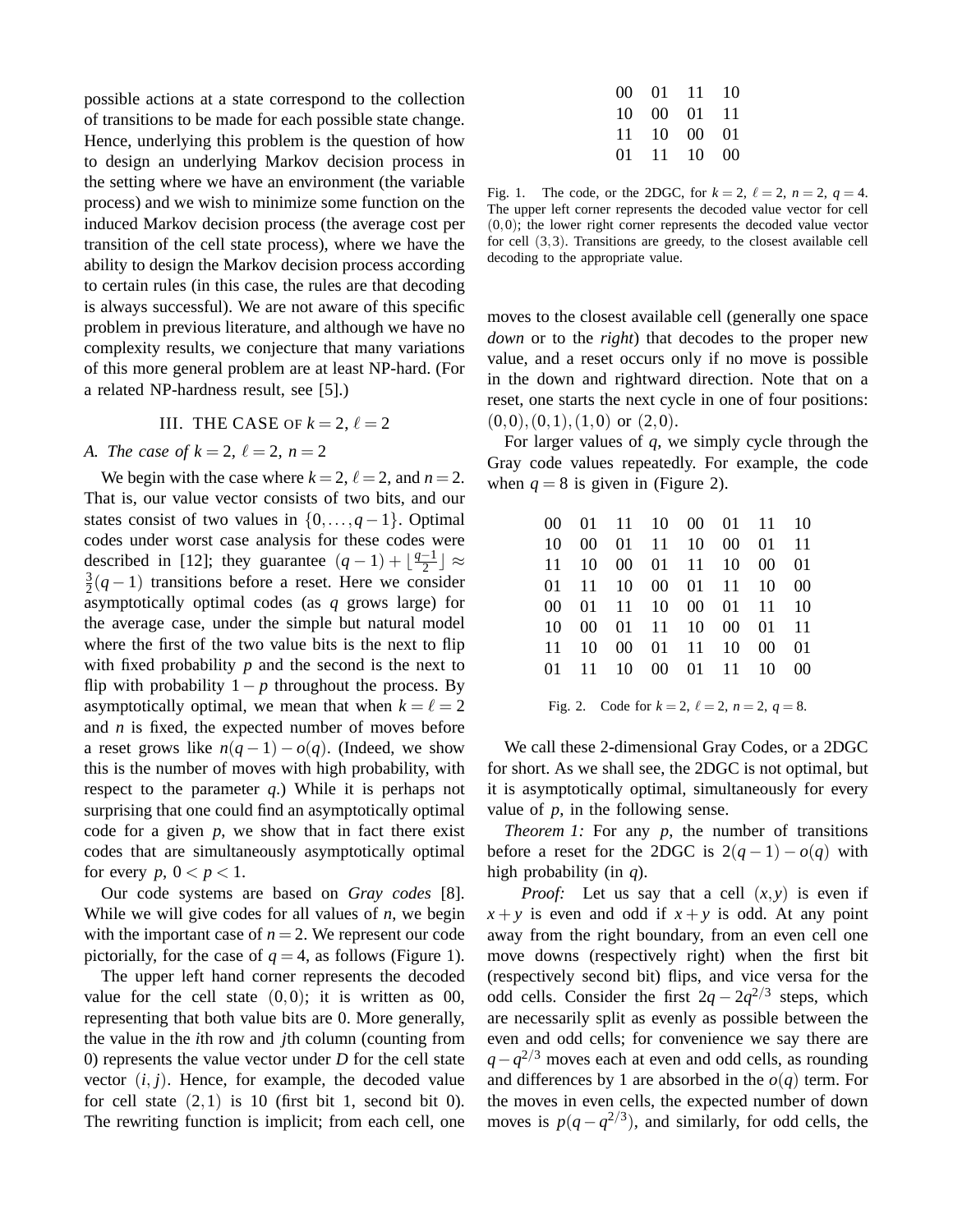possible actions at a state correspond to the collection of transitions to be made for each possible state change. Hence, underlying this problem is the question of how to design an underlying Markov decision process in the setting where we have an environment (the variable process) and we wish to minimize some function on the induced Markov decision process (the average cost per transition of the cell state process), where we have the ability to design the Markov decision process according to certain rules (in this case, the rules are that decoding is always successful). We are not aware of this specific problem in previous literature, and although we have no complexity results, we conjecture that many variations of this more general problem are at least NP-hard. (For a related NP-hardness result, see [5].)

#### III. THE CASE OF  $k = 2$ ,  $\ell = 2$

*A. The case of*  $k = 2$ ,  $\ell = 2$ ,  $n = 2$ 

We begin with the case where  $k = 2$ ,  $\ell = 2$ , and  $n = 2$ . That is, our value vector consists of two bits, and our states consist of two values in  $\{0, \ldots, q-1\}$ . Optimal codes under worst case analysis for these codes were described in [12]; they guarantee  $(q-1) + \lfloor \frac{q-1}{2} \rfloor$  $\frac{-1}{2}$   $\approx$ 3  $\frac{3}{2}(q-1)$  transitions before a reset. Here we consider asymptotically optimal codes (as *q* grows large) for the average case, under the simple but natural model where the first of the two value bits is the next to flip with fixed probability *p* and the second is the next to flip with probability  $1-p$  throughout the process. By asymptotically optimal, we mean that when  $k = \ell = 2$ and *n* is fixed, the expected number of moves before a reset grows like  $n(q-1) - o(q)$ . (Indeed, we show this is the number of moves with high probability, with respect to the parameter *q*.) While it is perhaps not surprising that one could find an asymptotically optimal code for a given *p*, we show that in fact there exist codes that are simultaneously asymptotically optimal for every  $p, 0 < p < 1$ .

Our code systems are based on *Gray codes* [8]. While we will give codes for all values of *n*, we begin with the important case of  $n = 2$ . We represent our code pictorially, for the case of  $q = 4$ , as follows (Figure 1).

The upper left hand corner represents the decoded value for the cell state  $(0,0)$ ; it is written as 00, representing that both value bits are 0. More generally, the value in the *i*th row and *j*th column (counting from 0) represents the value vector under *D* for the cell state vector  $(i, j)$ . Hence, for example, the decoded value for cell state  $(2,1)$  is 10 (first bit 1, second bit 0). The rewriting function is implicit; from each cell, one

| $($ i() | 01 | 11       | 10 |
|---------|----|----------|----|
| 10      | 00 | 01       | 11 |
| 11      | 10 | $\Omega$ | 01 |
| 01      | 11 | 10       | 00 |

Fig. 1. The code, or the 2DGC, for  $k = 2$ ,  $\ell = 2$ ,  $n = 2$ ,  $q = 4$ . The upper left corner represents the decoded value vector for cell  $(0,0)$ ; the lower right corner represents the decoded value vector for cell (3,3). Transitions are greedy, to the closest available cell decoding to the appropriate value.

moves to the closest available cell (generally one space *down* or to the *right*) that decodes to the proper new value, and a reset occurs only if no move is possible in the down and rightward direction. Note that on a reset, one starts the next cycle in one of four positions:  $(0,0), (0,1), (1,0)$  or  $(2,0)$ .

For larger values of *q*, we simply cycle through the Gray code values repeatedly. For example, the code when  $q = 8$  is given in (Figure 2).

| 00                                                          |    |       |  |          | 01 11 10 00 01 11 10 |                 |    |
|-------------------------------------------------------------|----|-------|--|----------|----------------------|-----------------|----|
| 10                                                          | 00 |       |  | 01 11 10 | 00                   | 01 11           |    |
| 11                                                          | 10 |       |  |          | 00 01 11 10          | 00              | 01 |
| 01                                                          |    | 11 10 |  |          | 00 01 11 10          |                 | 00 |
| 00                                                          |    |       |  |          | 01 11 10 00 01 11    |                 | 10 |
| 10                                                          | 00 |       |  | 01 11 10 | 00 <sup>1</sup>      | 01 11           |    |
| 11                                                          | 10 |       |  |          | 00 01 11 10          | 00 <sup>1</sup> | 01 |
|                                                             |    |       |  |          | 01 11 10 00 01 11 10 |                 | 00 |
|                                                             |    |       |  |          |                      |                 |    |
| Fig. 2. Code for $k = 2$ , $\ell = 2$ , $n = 2$ , $q = 8$ . |    |       |  |          |                      |                 |    |

We call these 2-dimensional Gray Codes, or a 2DGC for short. As we shall see, the 2DGC is not optimal, but it is asymptotically optimal, simultaneously for every value of *p*, in the following sense.

*Theorem 1:* For any *p*, the number of transitions before a reset for the 2DGC is  $2(q-1) - o(q)$  with high probability (in *q*).

*Proof:* Let us say that a cell (*x*,*y*) is even if  $x + y$  is even and odd if  $x + y$  is odd. At any point away from the right boundary, from an even cell one move downs (respectively right) when the first bit (respectively second bit) flips, and vice versa for the odd cells. Consider the first  $2q - 2q^{2/3}$  steps, which are necessarily split as evenly as possible between the even and odd cells; for convenience we say there are *q* −  $q^{2/3}$  moves each at even and odd cells, as rounding and differences by 1 are absorbed in the  $o(q)$  term. For the moves in even cells, the expected number of down moves is  $p(q - q^{2/3})$ , and similarly, for odd cells, the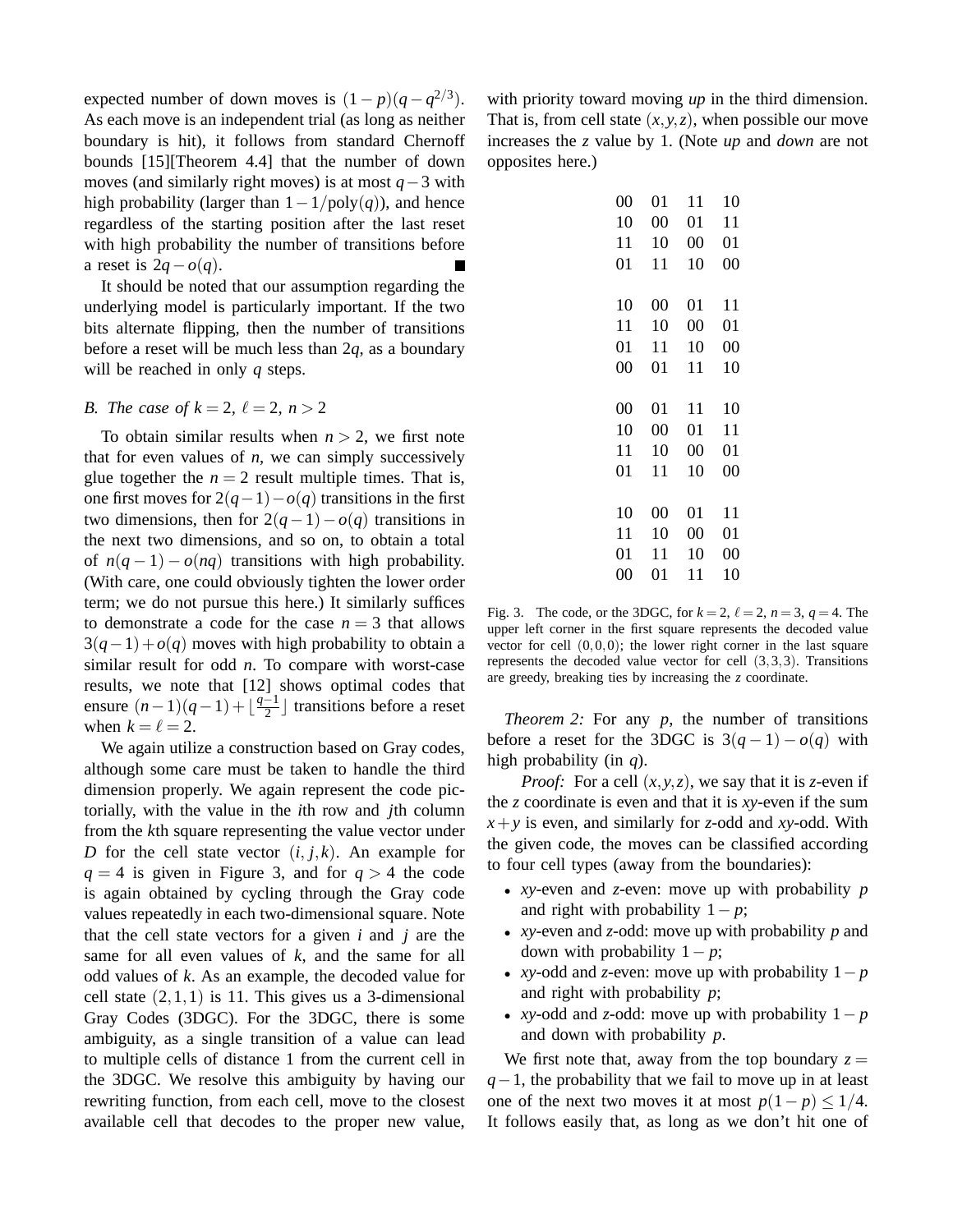expected number of down moves is  $(1-p)(q-q^{2/3})$ . As each move is an independent trial (as long as neither boundary is hit), it follows from standard Chernoff bounds [15][Theorem 4.4] that the number of down moves (and similarly right moves) is at most *q*−3 with high probability (larger than  $1 - 1/poly(q)$ ), and hence regardless of the starting position after the last reset with high probability the number of transitions before a reset is 2*q*−*o*(*q*).  $\blacksquare$ 

It should be noted that our assumption regarding the underlying model is particularly important. If the two bits alternate flipping, then the number of transitions before a reset will be much less than 2*q*, as a boundary will be reached in only *q* steps.

# *B.* The case of  $k = 2, \ell = 2, n > 2$

To obtain similar results when  $n > 2$ , we first note that for even values of  $n$ , we can simply successively glue together the  $n = 2$  result multiple times. That is, one first moves for  $2(q-1)-o(q)$  transitions in the first two dimensions, then for  $2(q-1)-o(q)$  transitions in the next two dimensions, and so on, to obtain a total of  $n(q-1) - o(nq)$  transitions with high probability. (With care, one could obviously tighten the lower order term; we do not pursue this here.) It similarly suffices to demonstrate a code for the case  $n = 3$  that allows  $3(q-1)+o(q)$  moves with high probability to obtain a similar result for odd *n*. To compare with worst-case results, we note that [12] shows optimal codes that ensure  $(n-1)(q-1)+\lfloor \frac{q-1}{2} \rfloor$  $\frac{-1}{2}$  transitions before a reset when  $k = \ell = 2$ .

We again utilize a construction based on Gray codes, although some care must be taken to handle the third dimension properly. We again represent the code pictorially, with the value in the *i*th row and *j*th column from the *k*th square representing the value vector under *D* for the cell state vector  $(i, j, k)$ . An example for  $q = 4$  is given in Figure 3, and for  $q > 4$  the code is again obtained by cycling through the Gray code values repeatedly in each two-dimensional square. Note that the cell state vectors for a given *i* and *j* are the same for all even values of *k*, and the same for all odd values of *k*. As an example, the decoded value for cell state  $(2,1,1)$  is 11. This gives us a 3-dimensional Gray Codes (3DGC). For the 3DGC, there is some ambiguity, as a single transition of a value can lead to multiple cells of distance 1 from the current cell in the 3DGC. We resolve this ambiguity by having our rewriting function, from each cell, move to the closest available cell that decodes to the proper new value, with priority toward moving *up* in the third dimension. That is, from cell state  $(x, y, z)$ , when possible our move increases the *z* value by 1. (Note *up* and *down* are not opposites here.)

| 00     | 01     | 11     | 10 |
|--------|--------|--------|----|
| 10     | 00     | 01     | 11 |
| 11     | 10     | $00\,$ | 01 |
| 01     | 11     | 10     | 00 |
|        |        |        |    |
| 10     | 00     | 01     | 11 |
| 11     | 10     | 00     | 01 |
| 01     | 11     | 10     | 00 |
| $00\,$ | 01     | 11     | 10 |
|        |        |        |    |
| $00\,$ | 01     | 11     | 10 |
| 10     | $00\,$ | 01     | 11 |
| 11     | 10     | $00\,$ | 01 |
| 01     | 11     | 10     | 00 |
|        |        |        |    |
| 10     | 00     | 01     | 11 |
| 11     | 10     | 00     | 01 |
| 01     | 11     | 10     | 00 |
| 00     | 01     | 11     | 10 |
|        |        |        |    |

Fig. 3. The code, or the 3DGC, for  $k = 2$ ,  $\ell = 2$ ,  $n = 3$ ,  $q = 4$ . The upper left corner in the first square represents the decoded value vector for cell  $(0,0,0)$ ; the lower right corner in the last square represents the decoded value vector for cell (3,3,3). Transitions are greedy, breaking ties by increasing the *z* coordinate.

*Theorem 2:* For any *p*, the number of transitions before a reset for the 3DGC is  $3(q-1) - o(q)$  with high probability (in *q*).

*Proof:* For a cell  $(x, y, z)$ , we say that it is *z*-even if the *z* coordinate is even and that it is *xy*-even if the sum  $x + y$  is even, and similarly for *z*-odd and *xy*-odd. With the given code, the moves can be classified according to four cell types (away from the boundaries):

- *xy*-even and *z*-even: move up with probability *p* and right with probability  $1-p$ ;
- *xy*-even and *z*-odd: move up with probability *p* and down with probability 1− *p*;
- *xy*-odd and *z*-even: move up with probability  $1-p$ and right with probability *p*;
- *xy*-odd and *z*-odd: move up with probability  $1-p$ and down with probability *p*.

We first note that, away from the top boundary  $z =$ *q*−1, the probability that we fail to move up in at least one of the next two moves it at most  $p(1-p) \leq 1/4$ . It follows easily that, as long as we don't hit one of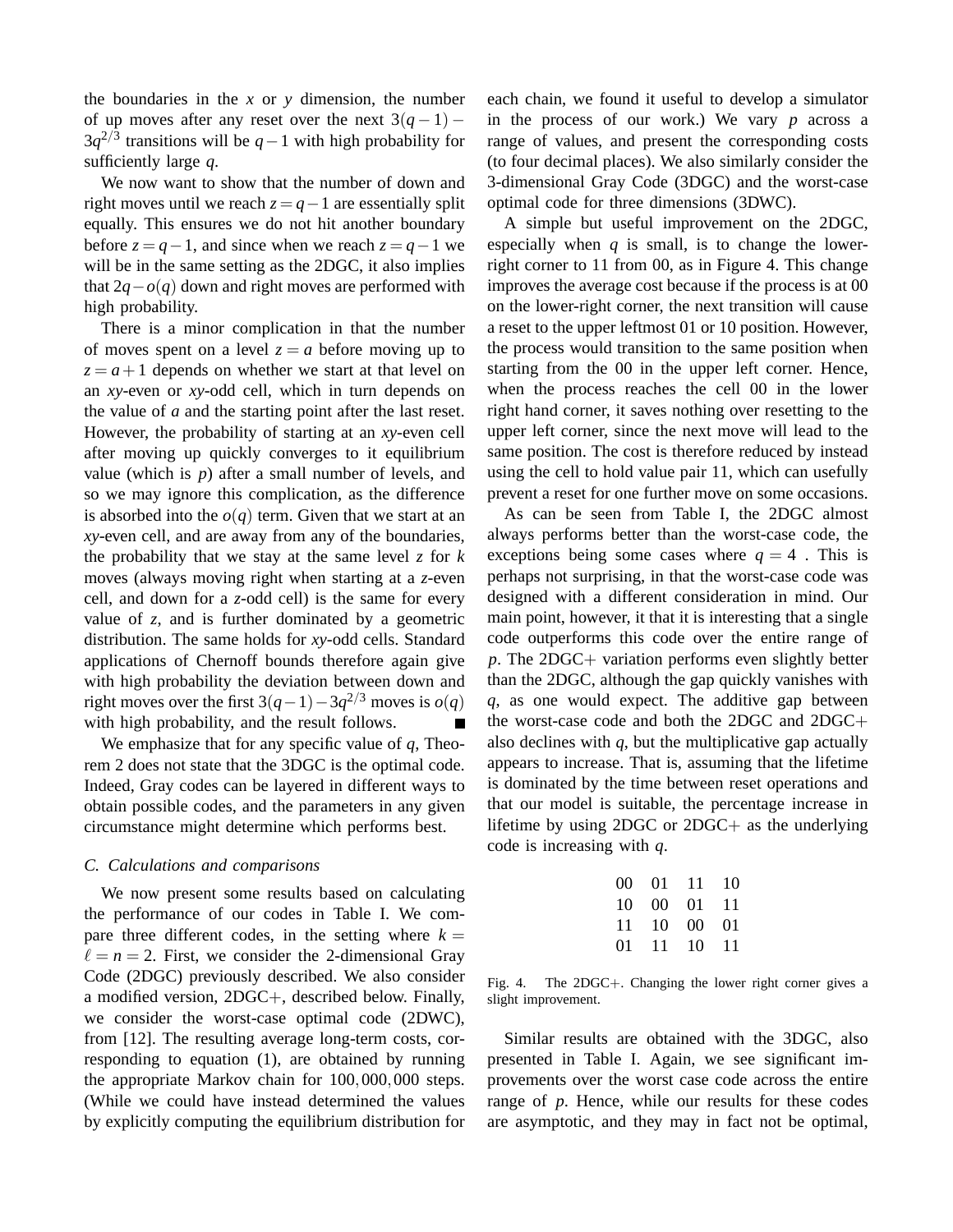the boundaries in the *x* or *y* dimension, the number of up moves after any reset over the next  $3(q-1)$  – 3*q* 2/3 transitions will be *q*−1 with high probability for sufficiently large *q*.

We now want to show that the number of down and right moves until we reach  $z = q - 1$  are essentially split equally. This ensures we do not hit another boundary before  $z = q - 1$ , and since when we reach  $z = q - 1$  we will be in the same setting as the 2DGC, it also implies that 2*q*−*o*(*q*) down and right moves are performed with high probability.

There is a minor complication in that the number of moves spent on a level  $z = a$  before moving up to  $z = a + 1$  depends on whether we start at that level on an *xy*-even or *xy*-odd cell, which in turn depends on the value of *a* and the starting point after the last reset. However, the probability of starting at an *xy*-even cell after moving up quickly converges to it equilibrium value (which is *p*) after a small number of levels, and so we may ignore this complication, as the difference is absorbed into the  $o(q)$  term. Given that we start at an *xy*-even cell, and are away from any of the boundaries, the probability that we stay at the same level  $z$  for  $k$ moves (always moving right when starting at a *z*-even cell, and down for a *z*-odd cell) is the same for every value of *z*, and is further dominated by a geometric distribution. The same holds for *xy*-odd cells. Standard applications of Chernoff bounds therefore again give with high probability the deviation between down and right moves over the first  $3(q-1)-3q^{2/3}$  moves is  $o(q)$ with high probability, and the result follows.

We emphasize that for any specific value of *q*, Theorem 2 does not state that the 3DGC is the optimal code. Indeed, Gray codes can be layered in different ways to obtain possible codes, and the parameters in any given circumstance might determine which performs best.

#### *C. Calculations and comparisons*

We now present some results based on calculating the performance of our codes in Table I. We compare three different codes, in the setting where  $k =$  $\ell = n = 2$ . First, we consider the 2-dimensional Gray Code (2DGC) previously described. We also consider a modified version, 2DGC+, described below. Finally, we consider the worst-case optimal code (2DWC), from [12]. The resulting average long-term costs, corresponding to equation (1), are obtained by running the appropriate Markov chain for 100,000,000 steps. (While we could have instead determined the values by explicitly computing the equilibrium distribution for

each chain, we found it useful to develop a simulator in the process of our work.) We vary *p* across a range of values, and present the corresponding costs (to four decimal places). We also similarly consider the 3-dimensional Gray Code (3DGC) and the worst-case optimal code for three dimensions (3DWC).

A simple but useful improvement on the 2DGC, especially when  $q$  is small, is to change the lowerright corner to 11 from 00, as in Figure 4. This change improves the average cost because if the process is at 00 on the lower-right corner, the next transition will cause a reset to the upper leftmost 01 or 10 position. However, the process would transition to the same position when starting from the 00 in the upper left corner. Hence, when the process reaches the cell 00 in the lower right hand corner, it saves nothing over resetting to the upper left corner, since the next move will lead to the same position. The cost is therefore reduced by instead using the cell to hold value pair 11, which can usefully prevent a reset for one further move on some occasions.

As can be seen from Table I, the 2DGC almost always performs better than the worst-case code, the exceptions being some cases where  $q = 4$ . This is perhaps not surprising, in that the worst-case code was designed with a different consideration in mind. Our main point, however, it that it is interesting that a single code outperforms this code over the entire range of *p*. The 2DGC+ variation performs even slightly better than the 2DGC, although the gap quickly vanishes with *q*, as one would expect. The additive gap between the worst-case code and both the 2DGC and 2DGC+ also declines with *q*, but the multiplicative gap actually appears to increase. That is, assuming that the lifetime is dominated by the time between reset operations and that our model is suitable, the percentage increase in lifetime by using  $2DGC$  or  $2DGC +$  as the underlying code is increasing with *q*.

| $\Omega$ | 01 | 11       | 10 |
|----------|----|----------|----|
| 10       | 00 | 01       | 11 |
| 11       | 10 | $\Omega$ | 01 |
| 01       | 11 | 10       | 11 |

Fig. 4. The 2DGC+. Changing the lower right corner gives a slight improvement.

Similar results are obtained with the 3DGC, also presented in Table I. Again, we see significant improvements over the worst case code across the entire range of *p*. Hence, while our results for these codes are asymptotic, and they may in fact not be optimal,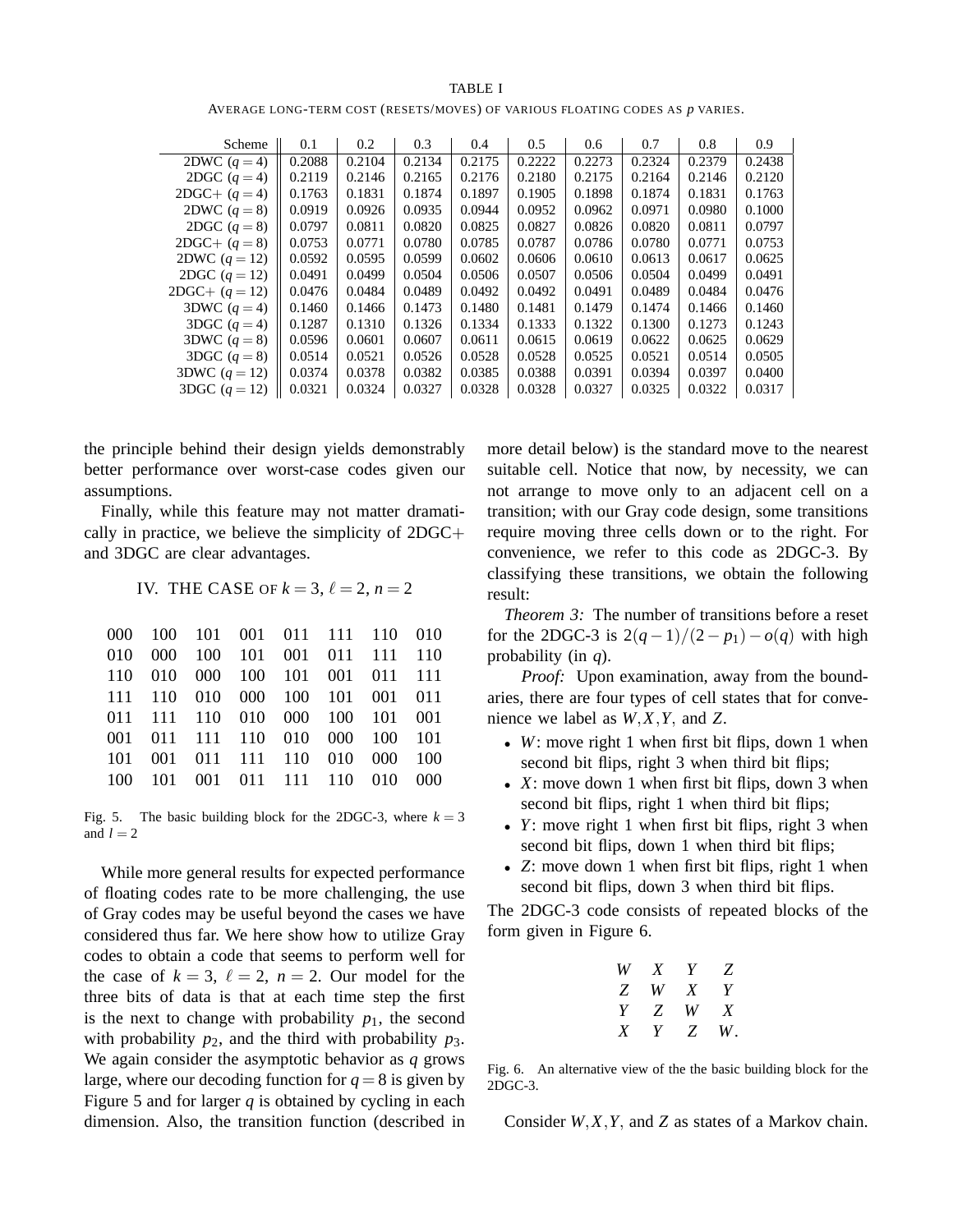TABLE I

AVERAGE LONG-TERM COST (RESETS/MOVES) OF VARIOUS FLOATING CODES AS *p* VARIES.

| Scheme            | 0.1    | 0.2    | 0.3    | 0.4    | 0.5    | 0.6    | 0.7    | 0.8    | 0.9    |
|-------------------|--------|--------|--------|--------|--------|--------|--------|--------|--------|
| 2DWC $(q = 4)$    | 0.2088 | 0.2104 | 0.2134 | 0.2175 | 0.2222 | 0.2273 | 0.2324 | 0.2379 | 0.2438 |
| 2DGC $(q=4)$      | 0.2119 | 0.2146 | 0.2165 | 0.2176 | 0.2180 | 0.2175 | 0.2164 | 0.2146 | 0.2120 |
| $2DGC + (q = 4)$  | 0.1763 | 0.1831 | 0.1874 | 0.1897 | 0.1905 | 0.1898 | 0.1874 | 0.1831 | 0.1763 |
| 2DWC $(q=8)$      | 0.0919 | 0.0926 | 0.0935 | 0.0944 | 0.0952 | 0.0962 | 0.0971 | 0.0980 | 0.1000 |
| 2DGC $(q=8)$      | 0.0797 | 0.0811 | 0.0820 | 0.0825 | 0.0827 | 0.0826 | 0.0820 | 0.0811 | 0.0797 |
| $2DGC + (q = 8)$  | 0.0753 | 0.0771 | 0.0780 | 0.0785 | 0.0787 | 0.0786 | 0.0780 | 0.0771 | 0.0753 |
| 2DWC $(q = 12)$   | 0.0592 | 0.0595 | 0.0599 | 0.0602 | 0.0606 | 0.0610 | 0.0613 | 0.0617 | 0.0625 |
| 2DGC $(q = 12)$   | 0.0491 | 0.0499 | 0.0504 | 0.0506 | 0.0507 | 0.0506 | 0.0504 | 0.0499 | 0.0491 |
| $2DGC + (q = 12)$ | 0.0476 | 0.0484 | 0.0489 | 0.0492 | 0.0492 | 0.0491 | 0.0489 | 0.0484 | 0.0476 |
| 3DWC $(q = 4)$    | 0.1460 | 0.1466 | 0.1473 | 0.1480 | 0.1481 | 0.1479 | 0.1474 | 0.1466 | 0.1460 |
| 3DGC $(q=4)$      | 0.1287 | 0.1310 | 0.1326 | 0.1334 | 0.1333 | 0.1322 | 0.1300 | 0.1273 | 0.1243 |
| 3DWC $(q=8)$      | 0.0596 | 0.0601 | 0.0607 | 0.0611 | 0.0615 | 0.0619 | 0.0622 | 0.0625 | 0.0629 |
| 3DGC $(q=8)$      | 0.0514 | 0.0521 | 0.0526 | 0.0528 | 0.0528 | 0.0525 | 0.0521 | 0.0514 | 0.0505 |
| 3DWC $(q = 12)$   | 0.0374 | 0.0378 | 0.0382 | 0.0385 | 0.0388 | 0.0391 | 0.0394 | 0.0397 | 0.0400 |
| 3DGC $(q = 12)$   | 0.0321 | 0.0324 | 0.0327 | 0.0328 | 0.0328 | 0.0327 | 0.0325 | 0.0322 | 0.0317 |

the principle behind their design yields demonstrably better performance over worst-case codes given our assumptions.

Finally, while this feature may not matter dramatically in practice, we believe the simplicity of 2DGC+ and 3DGC are clear advantages.

IV. THE CASE OF  $k = 3$ ,  $\ell = 2$ ,  $n = 2$ 

|  |  |  | 000 100 101 001 011 111 110 010 |  |
|--|--|--|---------------------------------|--|
|  |  |  | 010 000 100 101 001 011 111 110 |  |
|  |  |  | 110 010 000 100 101 001 011 111 |  |
|  |  |  | 111 110 010 000 100 101 001 011 |  |
|  |  |  | 011 111 110 010 000 100 101 001 |  |
|  |  |  | 001 011 111 110 010 000 100 101 |  |
|  |  |  | 101 001 011 111 110 010 000 100 |  |
|  |  |  | 100 101 001 011 111 110 010 000 |  |
|  |  |  |                                 |  |

Fig. 5. The basic building block for the 2DGC-3, where  $k = 3$ and  $l = 2$ 

While more general results for expected performance of floating codes rate to be more challenging, the use of Gray codes may be useful beyond the cases we have considered thus far. We here show how to utilize Gray codes to obtain a code that seems to perform well for the case of  $k = 3$ ,  $\ell = 2$ ,  $n = 2$ . Our model for the three bits of data is that at each time step the first is the next to change with probability  $p_1$ , the second with probability  $p_2$ , and the third with probability  $p_3$ . We again consider the asymptotic behavior as *q* grows large, where our decoding function for  $q = 8$  is given by Figure 5 and for larger *q* is obtained by cycling in each dimension. Also, the transition function (described in more detail below) is the standard move to the nearest suitable cell. Notice that now, by necessity, we can not arrange to move only to an adjacent cell on a transition; with our Gray code design, some transitions require moving three cells down or to the right. For convenience, we refer to this code as 2DGC-3. By classifying these transitions, we obtain the following result:

*Theorem 3:* The number of transitions before a reset for the 2DGC-3 is  $2(q-1)/(2-p_1)-o(q)$  with high probability (in *q*).

*Proof:* Upon examination, away from the boundaries, there are four types of cell states that for convenience we label as *W*,*X*,*Y*, and *Z*.

- *W*: move right 1 when first bit flips, down 1 when second bit flips, right 3 when third bit flips;
- *X*: move down 1 when first bit flips, down 3 when second bit flips, right 1 when third bit flips;
- *Y*: move right 1 when first bit flips, right 3 when second bit flips, down 1 when third bit flips;
- *Z*: move down 1 when first bit flips, right 1 when second bit flips, down 3 when third bit flips.

The 2DGC-3 code consists of repeated blocks of the form given in Figure 6.

| W | X | Y | Z  |
|---|---|---|----|
| Z | W | X | Y  |
| Y | Z | W | X  |
| X | Y | Z | W. |

Fig. 6. An alternative view of the the basic building block for the 2DGC-3.

Consider *W*,*X*,*Y*, and *Z* as states of a Markov chain.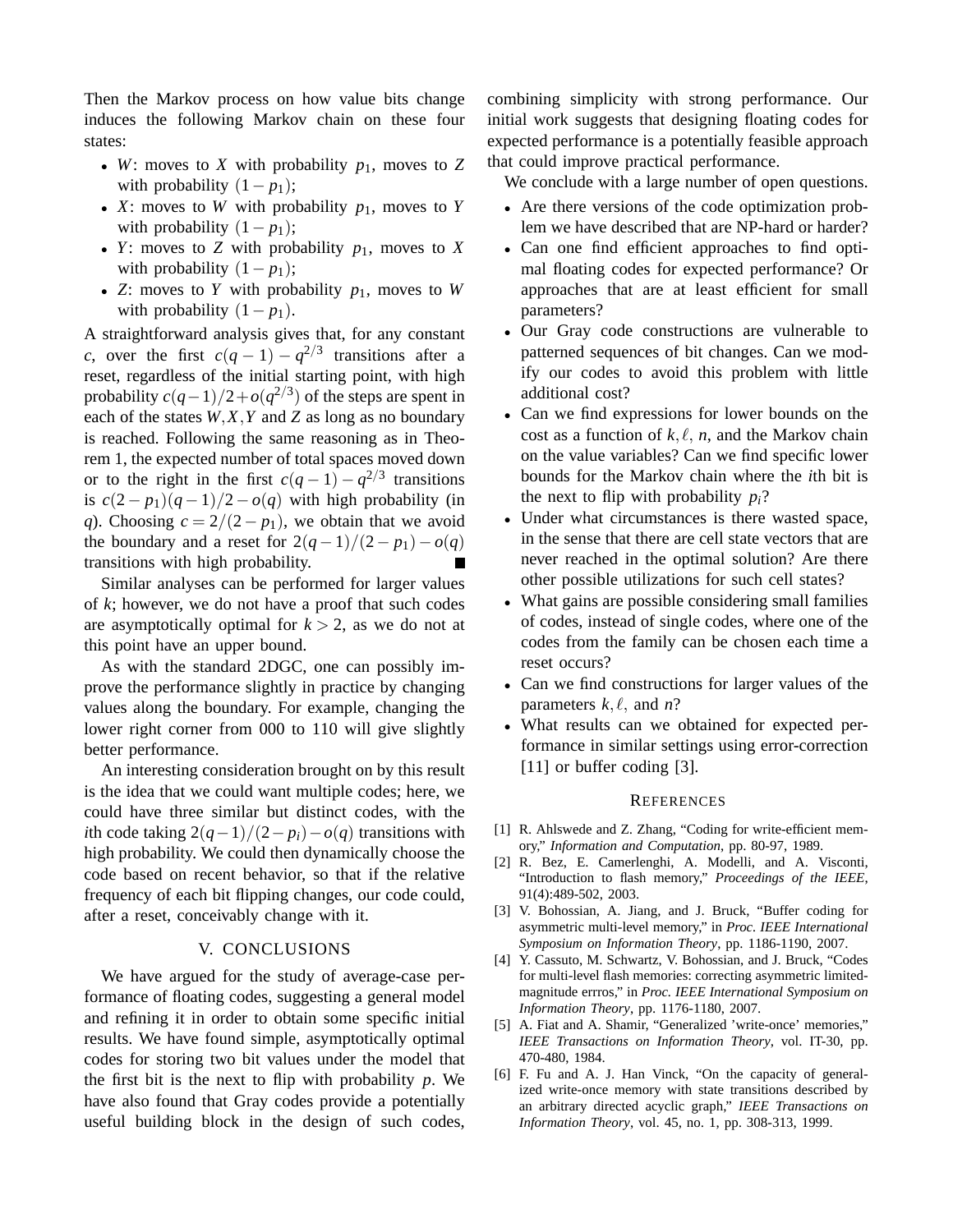Then the Markov process on how value bits change induces the following Markov chain on these four states:

- *W*: moves to *X* with probability  $p_1$ , moves to *Z* with probability  $(1-p_1)$ ;
- *X*: moves to *W* with probability  $p_1$ , moves to *Y* with probability  $(1-p_1)$ ;
- *Y*: moves to *Z* with probability  $p_1$ , moves to *X* with probability  $(1 - p_1)$ ;
- *Z*: moves to *Y* with probability  $p_1$ , moves to *W* with probability  $(1-p_1)$ .

A straightforward analysis gives that, for any constant *c*, over the first  $c(q-1) - q^{2/3}$  transitions after a reset, regardless of the initial starting point, with high probability  $c(q-1)/2+o(q^{2/3})$  of the steps are spent in each of the states  $W, X, Y$  and  $Z$  as long as no boundary is reached. Following the same reasoning as in Theorem 1, the expected number of total spaces moved down or to the right in the first  $c(q-1) - q^{2/3}$  transitions is  $c(2-p_1)(q-1)/2 - o(q)$  with high probability (in *q*). Choosing  $c = 2/(2 - p_1)$ , we obtain that we avoid the boundary and a reset for  $2(q-1)/(2-p_1)-o(q)$ transitions with high probability.

Similar analyses can be performed for larger values of *k*; however, we do not have a proof that such codes are asymptotically optimal for  $k > 2$ , as we do not at this point have an upper bound.

As with the standard 2DGC, one can possibly improve the performance slightly in practice by changing values along the boundary. For example, changing the lower right corner from 000 to 110 will give slightly better performance.

An interesting consideration brought on by this result is the idea that we could want multiple codes; here, we could have three similar but distinct codes, with the *i*th code taking  $2(q-1)/(2-p_i)-o(q)$  transitions with high probability. We could then dynamically choose the code based on recent behavior, so that if the relative frequency of each bit flipping changes, our code could, after a reset, conceivably change with it.

## V. CONCLUSIONS

We have argued for the study of average-case performance of floating codes, suggesting a general model and refining it in order to obtain some specific initial results. We have found simple, asymptotically optimal codes for storing two bit values under the model that the first bit is the next to flip with probability *p*. We have also found that Gray codes provide a potentially useful building block in the design of such codes,

combining simplicity with strong performance. Our initial work suggests that designing floating codes for expected performance is a potentially feasible approach that could improve practical performance.

We conclude with a large number of open questions.

- Are there versions of the code optimization problem we have described that are NP-hard or harder?
- Can one find efficient approaches to find optimal floating codes for expected performance? Or approaches that are at least efficient for small parameters?
- Our Gray code constructions are vulnerable to patterned sequences of bit changes. Can we modify our codes to avoid this problem with little additional cost?
- Can we find expressions for lower bounds on the cost as a function of  $k, \ell, n$ , and the Markov chain on the value variables? Can we find specific lower bounds for the Markov chain where the *i*th bit is the next to flip with probability  $p_i$ ?
- Under what circumstances is there wasted space, in the sense that there are cell state vectors that are never reached in the optimal solution? Are there other possible utilizations for such cell states?
- What gains are possible considering small families of codes, instead of single codes, where one of the codes from the family can be chosen each time a reset occurs?
- Can we find constructions for larger values of the parameters  $k, \ell$ , and  $n$ ?
- What results can we obtained for expected performance in similar settings using error-correction [11] or buffer coding [3].

#### **REFERENCES**

- [1] R. Ahlswede and Z. Zhang, "Coding for write-efficient memory," *Information and Computation*, pp. 80-97, 1989.
- [2] R. Bez, E. Camerlenghi, A. Modelli, and A. Visconti, "Introduction to flash memory," *Proceedings of the IEEE*, 91(4):489-502, 2003.
- [3] V. Bohossian, A. Jiang, and J. Bruck, "Buffer coding for asymmetric multi-level memory," in *Proc. IEEE International Symposium on Information Theory*, pp. 1186-1190, 2007.
- [4] Y. Cassuto, M. Schwartz, V. Bohossian, and J. Bruck, "Codes for multi-level flash memories: correcting asymmetric limitedmagnitude errros," in *Proc. IEEE International Symposium on Information Theory*, pp. 1176-1180, 2007.
- [5] A. Fiat and A. Shamir, "Generalized 'write-once' memories," *IEEE Transactions on Information Theory*, vol. IT-30, pp. 470-480, 1984.
- [6] F. Fu and A. J. Han Vinck, "On the capacity of generalized write-once memory with state transitions described by an arbitrary directed acyclic graph," *IEEE Transactions on Information Theory*, vol. 45, no. 1, pp. 308-313, 1999.